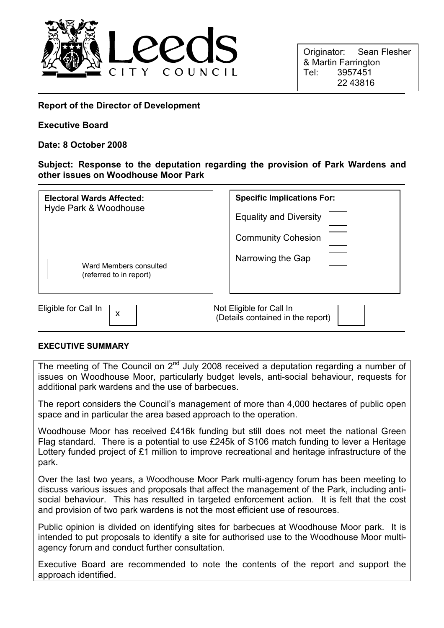

Originator: Sean Flesher & Martin Farrington Tel: 3957451 22 43816

## Report of the Director of Development

#### Executive Board

#### Date: 8 October 2008

## Subject: Response to the deputation regarding the provision of Park Wardens and other issues on Woodhouse Moor Park

| <b>Electoral Wards Affected:</b><br>Hyde Park & Woodhouse | <b>Specific Implications For:</b>                             |
|-----------------------------------------------------------|---------------------------------------------------------------|
|                                                           | <b>Equality and Diversity</b>                                 |
|                                                           | <b>Community Cohesion</b>                                     |
| Ward Members consulted<br>(referred to in report)         | Narrowing the Gap                                             |
| Eligible for Call In<br>X                                 | Not Eligible for Call In<br>(Details contained in the report) |

#### EXECUTIVE SUMMARY

The meeting of The Council on  $2<sup>nd</sup>$  July 2008 received a deputation regarding a number of issues on Woodhouse Moor, particularly budget levels, anti-social behaviour, requests for additional park wardens and the use of barbecues.

The report considers the Council's management of more than 4,000 hectares of public open space and in particular the area based approach to the operation.

Woodhouse Moor has received £416k funding but still does not meet the national Green Flag standard. There is a potential to use £245k of S106 match funding to lever a Heritage Lottery funded project of £1 million to improve recreational and heritage infrastructure of the park.

Over the last two years, a Woodhouse Moor Park multi-agency forum has been meeting to discuss various issues and proposals that affect the management of the Park, including antisocial behaviour. This has resulted in targeted enforcement action. It is felt that the cost and provision of two park wardens is not the most efficient use of resources.

Public opinion is divided on identifying sites for barbecues at Woodhouse Moor park. It is intended to put proposals to identify a site for authorised use to the Woodhouse Moor multiagency forum and conduct further consultation.

Executive Board are recommended to note the contents of the report and support the approach identified.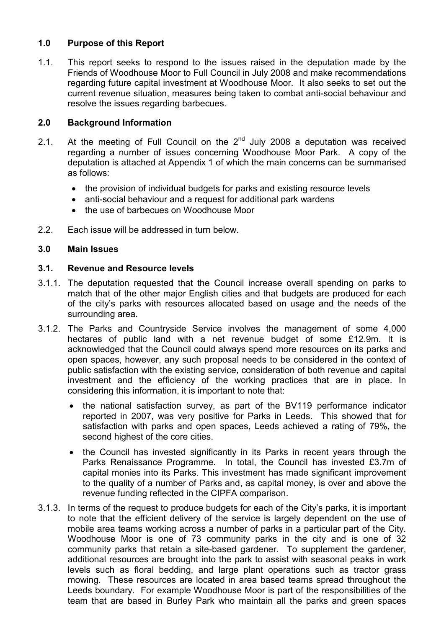# 1.0 Purpose of this Report

1.1. This report seeks to respond to the issues raised in the deputation made by the Friends of Woodhouse Moor to Full Council in July 2008 and make recommendations regarding future capital investment at Woodhouse Moor. It also seeks to set out the current revenue situation, measures being taken to combat anti-social behaviour and resolve the issues regarding barbecues.

## 2.0 Background Information

- 2.1. At the meeting of Full Council on the  $2<sup>nd</sup>$  July 2008 a deputation was received regarding a number of issues concerning Woodhouse Moor Park. A copy of the deputation is attached at Appendix 1 of which the main concerns can be summarised as follows:
	- the provision of individual budgets for parks and existing resource levels
	- anti-social behaviour and a request for additional park wardens
	- the use of barbecues on Woodhouse Moor
- 2.2. Each issue will be addressed in turn below.

## 3.0 Main Issues

#### 3.1. Revenue and Resource levels

- 3.1.1. The deputation requested that the Council increase overall spending on parks to match that of the other major English cities and that budgets are produced for each of the city's parks with resources allocated based on usage and the needs of the surrounding area.
- 3.1.2. The Parks and Countryside Service involves the management of some 4,000 hectares of public land with a net revenue budget of some £12.9m. It is acknowledged that the Council could always spend more resources on its parks and open spaces, however, any such proposal needs to be considered in the context of public satisfaction with the existing service, consideration of both revenue and capital investment and the efficiency of the working practices that are in place. In considering this information, it is important to note that:
	- the national satisfaction survey, as part of the BV119 performance indicator reported in 2007, was very positive for Parks in Leeds. This showed that for satisfaction with parks and open spaces, Leeds achieved a rating of 79%, the second highest of the core cities.
	- the Council has invested significantly in its Parks in recent years through the Parks Renaissance Programme. In total, the Council has invested £3.7m of capital monies into its Parks. This investment has made significant improvement to the quality of a number of Parks and, as capital money, is over and above the revenue funding reflected in the CIPFA comparison.
- 3.1.3. In terms of the request to produce budgets for each of the City's parks, it is important to note that the efficient delivery of the service is largely dependent on the use of mobile area teams working across a number of parks in a particular part of the City. Woodhouse Moor is one of 73 community parks in the city and is one of 32 community parks that retain a site-based gardener. To supplement the gardener, additional resources are brought into the park to assist with seasonal peaks in work levels such as floral bedding, and large plant operations such as tractor grass mowing. These resources are located in area based teams spread throughout the Leeds boundary. For example Woodhouse Moor is part of the responsibilities of the team that are based in Burley Park who maintain all the parks and green spaces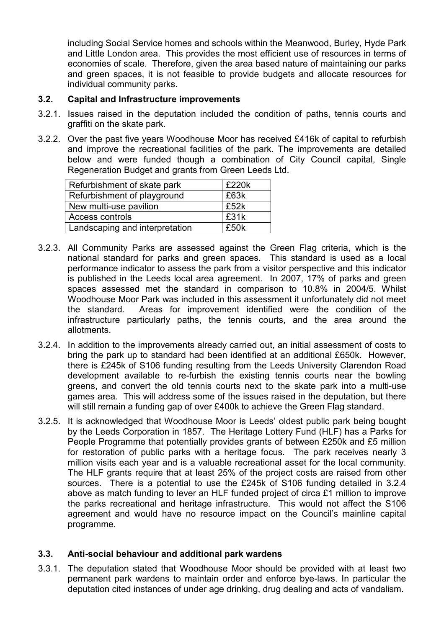including Social Service homes and schools within the Meanwood, Burley, Hyde Park and Little London area. This provides the most efficient use of resources in terms of economies of scale. Therefore, given the area based nature of maintaining our parks and green spaces, it is not feasible to provide budgets and allocate resources for individual community parks.

# 3.2. Capital and Infrastructure improvements

- 3.2.1. Issues raised in the deputation included the condition of paths, tennis courts and graffiti on the skate park.
- 3.2.2. Over the past five years Woodhouse Moor has received £416k of capital to refurbish and improve the recreational facilities of the park. The improvements are detailed below and were funded though a combination of City Council capital, Single Regeneration Budget and grants from Green Leeds Ltd.

| Refurbishment of skate park    | £220k |
|--------------------------------|-------|
| Refurbishment of playground    | £63k  |
| New multi-use pavilion         | £52k  |
| Access controls                | £31k  |
| Landscaping and interpretation | £50k  |

- 3.2.3. All Community Parks are assessed against the Green Flag criteria, which is the national standard for parks and green spaces. This standard is used as a local performance indicator to assess the park from a visitor perspective and this indicator is published in the Leeds local area agreement. In 2007, 17% of parks and green spaces assessed met the standard in comparison to 10.8% in 2004/5. Whilst Woodhouse Moor Park was included in this assessment it unfortunately did not meet the standard. Areas for improvement identified were the condition of the infrastructure particularly paths, the tennis courts, and the area around the allotments.
- 3.2.4. In addition to the improvements already carried out, an initial assessment of costs to bring the park up to standard had been identified at an additional £650k. However, there is £245k of S106 funding resulting from the Leeds University Clarendon Road development available to re-furbish the existing tennis courts near the bowling greens, and convert the old tennis courts next to the skate park into a multi-use games area. This will address some of the issues raised in the deputation, but there will still remain a funding gap of over £400k to achieve the Green Flag standard.
- 3.2.5. It is acknowledged that Woodhouse Moor is Leeds' oldest public park being bought by the Leeds Corporation in 1857. The Heritage Lottery Fund (HLF) has a Parks for People Programme that potentially provides grants of between £250k and £5 million for restoration of public parks with a heritage focus. The park receives nearly 3 million visits each year and is a valuable recreational asset for the local community. The HLF grants require that at least 25% of the project costs are raised from other sources. There is a potential to use the £245k of S106 funding detailed in 3.2.4 above as match funding to lever an HLF funded project of circa £1 million to improve the parks recreational and heritage infrastructure. This would not affect the S106 agreement and would have no resource impact on the Council's mainline capital programme.

## 3.3. Anti-social behaviour and additional park wardens

3.3.1. The deputation stated that Woodhouse Moor should be provided with at least two permanent park wardens to maintain order and enforce bye-laws. In particular the deputation cited instances of under age drinking, drug dealing and acts of vandalism.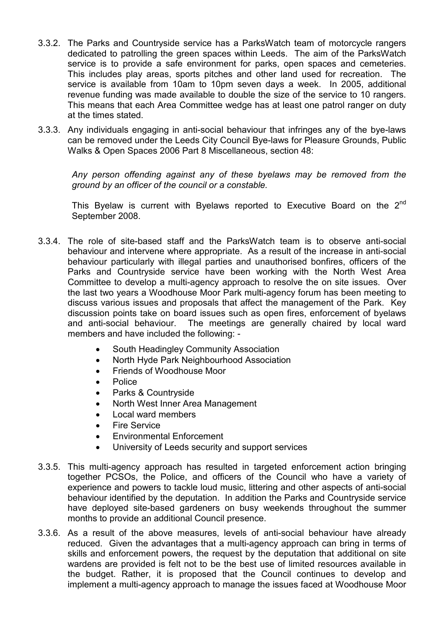- 3.3.2. The Parks and Countryside service has a ParksWatch team of motorcycle rangers dedicated to patrolling the green spaces within Leeds. The aim of the ParksWatch service is to provide a safe environment for parks, open spaces and cemeteries. This includes play areas, sports pitches and other land used for recreation. The service is available from 10am to 10pm seven days a week. In 2005, additional revenue funding was made available to double the size of the service to 10 rangers. This means that each Area Committee wedge has at least one patrol ranger on duty at the times stated.
- 3.3.3. Any individuals engaging in anti-social behaviour that infringes any of the bye-laws can be removed under the Leeds City Council Bye-laws for Pleasure Grounds, Public Walks & Open Spaces 2006 Part 8 Miscellaneous, section 48:

Any person offending against any of these byelaws may be removed from the ground by an officer of the council or a constable.

This Byelaw is current with Byelaws reported to Executive Board on the 2<sup>nd</sup> September 2008.

- 3.3.4. The role of site-based staff and the ParksWatch team is to observe anti-social behaviour and intervene where appropriate. As a result of the increase in anti-social behaviour particularly with illegal parties and unauthorised bonfires, officers of the Parks and Countryside service have been working with the North West Area Committee to develop a multi-agency approach to resolve the on site issues. Over the last two years a Woodhouse Moor Park multi-agency forum has been meeting to discuss various issues and proposals that affect the management of the Park. Key discussion points take on board issues such as open fires, enforcement of byelaws and anti-social behaviour. The meetings are generally chaired by local ward members and have included the following: -
	- South Headingley Community Association
	- North Hyde Park Neighbourhood Association
	- Friends of Woodhouse Moor
	- Police
	- Parks & Countryside
	- North West Inner Area Management
	- Local ward members
	- **Fire Service**
	- Environmental Enforcement
	- University of Leeds security and support services
- 3.3.5. This multi-agency approach has resulted in targeted enforcement action bringing together PCSOs, the Police, and officers of the Council who have a variety of experience and powers to tackle loud music, littering and other aspects of anti-social behaviour identified by the deputation. In addition the Parks and Countryside service have deployed site-based gardeners on busy weekends throughout the summer months to provide an additional Council presence.
- 3.3.6. As a result of the above measures, levels of anti-social behaviour have already reduced. Given the advantages that a multi-agency approach can bring in terms of skills and enforcement powers, the request by the deputation that additional on site wardens are provided is felt not to be the best use of limited resources available in the budget. Rather, it is proposed that the Council continues to develop and implement a multi-agency approach to manage the issues faced at Woodhouse Moor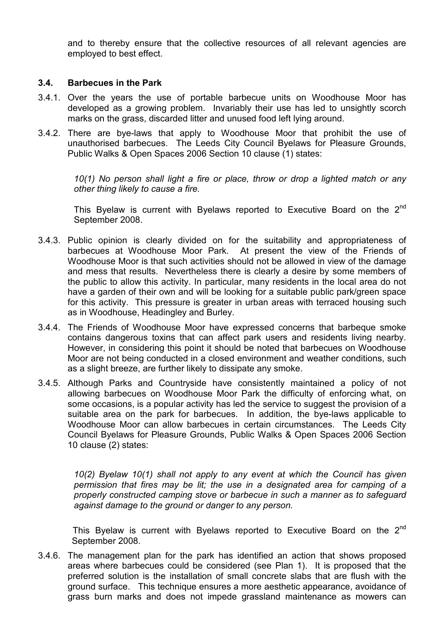and to thereby ensure that the collective resources of all relevant agencies are employed to best effect.

### 3.4. Barbecues in the Park

- 3.4.1. Over the years the use of portable barbecue units on Woodhouse Moor has developed as a growing problem. Invariably their use has led to unsightly scorch marks on the grass, discarded litter and unused food left lying around.
- 3.4.2. There are bye-laws that apply to Woodhouse Moor that prohibit the use of unauthorised barbecues. The Leeds City Council Byelaws for Pleasure Grounds, Public Walks & Open Spaces 2006 Section 10 clause (1) states:

10(1) No person shall light a fire or place, throw or drop a lighted match or any other thing likely to cause a fire.

This Byelaw is current with Byelaws reported to Executive Board on the 2<sup>nd</sup> September 2008.

- 3.4.3. Public opinion is clearly divided on for the suitability and appropriateness of barbecues at Woodhouse Moor Park. At present the view of the Friends of Woodhouse Moor is that such activities should not be allowed in view of the damage and mess that results. Nevertheless there is clearly a desire by some members of the public to allow this activity. In particular, many residents in the local area do not have a garden of their own and will be looking for a suitable public park/green space for this activity. This pressure is greater in urban areas with terraced housing such as in Woodhouse, Headingley and Burley.
- 3.4.4. The Friends of Woodhouse Moor have expressed concerns that barbeque smoke contains dangerous toxins that can affect park users and residents living nearby. However, in considering this point it should be noted that barbecues on Woodhouse Moor are not being conducted in a closed environment and weather conditions, such as a slight breeze, are further likely to dissipate any smoke.
- 3.4.5. Although Parks and Countryside have consistently maintained a policy of not allowing barbecues on Woodhouse Moor Park the difficulty of enforcing what, on some occasions, is a popular activity has led the service to suggest the provision of a suitable area on the park for barbecues. In addition, the bye-laws applicable to Woodhouse Moor can allow barbecues in certain circumstances. The Leeds City Council Byelaws for Pleasure Grounds, Public Walks & Open Spaces 2006 Section 10 clause (2) states:

10(2) Byelaw 10(1) shall not apply to any event at which the Council has given permission that fires may be lit; the use in a designated area for camping of a properly constructed camping stove or barbecue in such a manner as to safeguard against damage to the ground or danger to any person.

This Byelaw is current with Byelaws reported to Executive Board on the 2<sup>nd</sup> September 2008.

3.4.6. The management plan for the park has identified an action that shows proposed areas where barbecues could be considered (see Plan 1). It is proposed that the preferred solution is the installation of small concrete slabs that are flush with the ground surface. This technique ensures a more aesthetic appearance, avoidance of grass burn marks and does not impede grassland maintenance as mowers can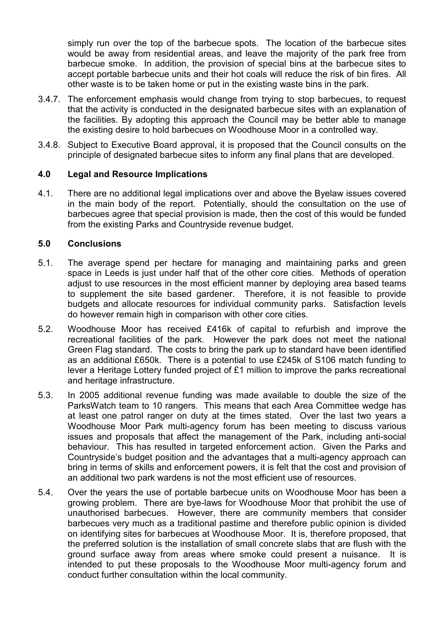simply run over the top of the barbecue spots. The location of the barbecue sites would be away from residential areas, and leave the majority of the park free from barbecue smoke. In addition, the provision of special bins at the barbecue sites to accept portable barbecue units and their hot coals will reduce the risk of bin fires. All other waste is to be taken home or put in the existing waste bins in the park.

- 3.4.7. The enforcement emphasis would change from trying to stop barbecues, to request that the activity is conducted in the designated barbecue sites with an explanation of the facilities. By adopting this approach the Council may be better able to manage the existing desire to hold barbecues on Woodhouse Moor in a controlled way.
- 3.4.8. Subject to Executive Board approval, it is proposed that the Council consults on the principle of designated barbecue sites to inform any final plans that are developed.

# 4.0 Legal and Resource Implications

4.1. There are no additional legal implications over and above the Byelaw issues covered in the main body of the report. Potentially, should the consultation on the use of barbecues agree that special provision is made, then the cost of this would be funded from the existing Parks and Countryside revenue budget.

## 5.0 Conclusions

- 5.1. The average spend per hectare for managing and maintaining parks and green space in Leeds is just under half that of the other core cities. Methods of operation adjust to use resources in the most efficient manner by deploying area based teams to supplement the site based gardener. Therefore, it is not feasible to provide budgets and allocate resources for individual community parks. Satisfaction levels do however remain high in comparison with other core cities.
- 5.2. Woodhouse Moor has received £416k of capital to refurbish and improve the recreational facilities of the park. However the park does not meet the national Green Flag standard. The costs to bring the park up to standard have been identified as an additional £650k. There is a potential to use £245k of S106 match funding to lever a Heritage Lottery funded project of £1 million to improve the parks recreational and heritage infrastructure.
- 5.3. In 2005 additional revenue funding was made available to double the size of the ParksWatch team to 10 rangers. This means that each Area Committee wedge has at least one patrol ranger on duty at the times stated. Over the last two years a Woodhouse Moor Park multi-agency forum has been meeting to discuss various issues and proposals that affect the management of the Park, including anti-social behaviour. This has resulted in targeted enforcement action. Given the Parks and Countryside's budget position and the advantages that a multi-agency approach can bring in terms of skills and enforcement powers, it is felt that the cost and provision of an additional two park wardens is not the most efficient use of resources.
- 5.4. Over the years the use of portable barbecue units on Woodhouse Moor has been a growing problem. There are bye-laws for Woodhouse Moor that prohibit the use of unauthorised barbecues. However, there are community members that consider barbecues very much as a traditional pastime and therefore public opinion is divided on identifying sites for barbecues at Woodhouse Moor. It is, therefore proposed, that the preferred solution is the installation of small concrete slabs that are flush with the ground surface away from areas where smoke could present a nuisance. It is intended to put these proposals to the Woodhouse Moor multi-agency forum and conduct further consultation within the local community.